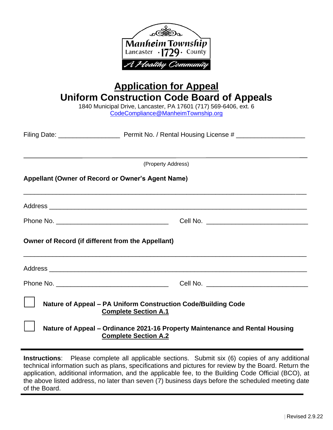

application, additional information, and the applicable fee, to the Building Code Official (BCO), at the above listed address, no later than seven (7) business days before the scheduled meeting date of the Board.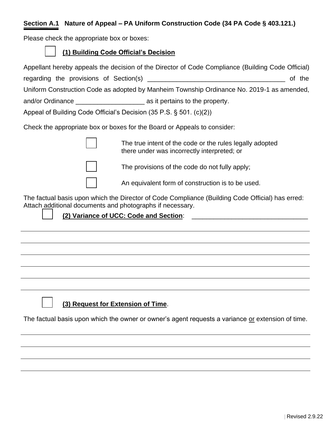# **Section A.1 Nature of Appeal – PA Uniform Construction Code (34 PA Code § 403.121.)**

Please check the appropriate box or boxes:

| (1) Building Code Official's Decision |
|---------------------------------------|
|---------------------------------------|

|                                                                     | Appellant hereby appeals the decision of the Director of Code Compliance (Building Code Official)                                                               |        |
|---------------------------------------------------------------------|-----------------------------------------------------------------------------------------------------------------------------------------------------------------|--------|
|                                                                     |                                                                                                                                                                 | of the |
|                                                                     | Uniform Construction Code as adopted by Manheim Township Ordinance No. 2019-1 as amended,                                                                       |        |
|                                                                     |                                                                                                                                                                 |        |
| Appeal of Building Code Official's Decision (35 P.S. § 501. (c)(2)) |                                                                                                                                                                 |        |
|                                                                     | Check the appropriate box or boxes for the Board or Appeals to consider:                                                                                        |        |
|                                                                     | The true intent of the code or the rules legally adopted<br>there under was incorrectly interpreted; or                                                         |        |
|                                                                     | The provisions of the code do not fully apply;                                                                                                                  |        |
|                                                                     | An equivalent form of construction is to be used.                                                                                                               |        |
| Attach additional documents and photographs if necessary.           | The factual basis upon which the Director of Code Compliance (Building Code Official) has erred:                                                                |        |
|                                                                     | (2) Variance of UCC: Code and Section:<br><u> 1989 - Johann Barn, mars and de Branch Barn, mars and de Branch Barn, mars and de Branch Barn, mars and de Br</u> |        |
|                                                                     |                                                                                                                                                                 |        |
|                                                                     |                                                                                                                                                                 |        |
|                                                                     |                                                                                                                                                                 |        |
|                                                                     |                                                                                                                                                                 |        |
|                                                                     |                                                                                                                                                                 |        |
|                                                                     |                                                                                                                                                                 |        |
| (3) Request for Extension of Time.                                  |                                                                                                                                                                 |        |
|                                                                     | The factual basis upon which the owner or owner's agent requests a variance or extension of time.                                                               |        |
|                                                                     |                                                                                                                                                                 |        |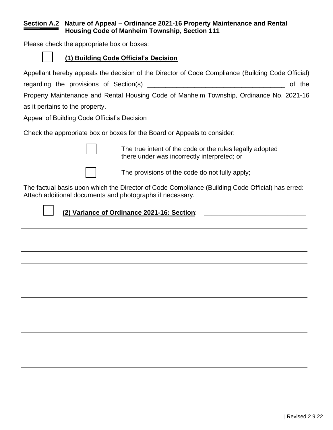#### **Section A.2 Nature of Appeal – Ordinance 2021-16 Property Maintenance and Rental Housing Code of Manheim Township, Section 111**

Please check the appropriate box or boxes:

## **(1) Building Code Official's Decision**

Appellant hereby appeals the decision of the Director of Code Compliance (Building Code Official) regarding the provisions of Section(s) \_\_\_\_\_\_\_\_\_\_\_\_\_\_\_\_\_\_\_\_\_\_\_\_\_\_\_\_\_\_\_\_\_\_\_\_\_\_ of the Property Maintenance and Rental Housing Code of Manheim Township, Ordinance No. 2021-16 as it pertains to the property.

Appeal of Building Code Official's Decision

Check the appropriate box or boxes for the Board or Appeals to consider:



The true intent of the code or the rules legally adopted there under was incorrectly interpreted; or



The provisions of the code do not fully apply;

The factual basis upon which the Director of Code Compliance (Building Code Official) has erred: Attach additional documents and photographs if necessary.



**(2) Variance of Ordinance 2021-16: Section**: \_\_\_\_\_\_\_\_\_\_\_\_\_\_\_\_\_\_\_\_\_\_\_\_\_\_\_\_